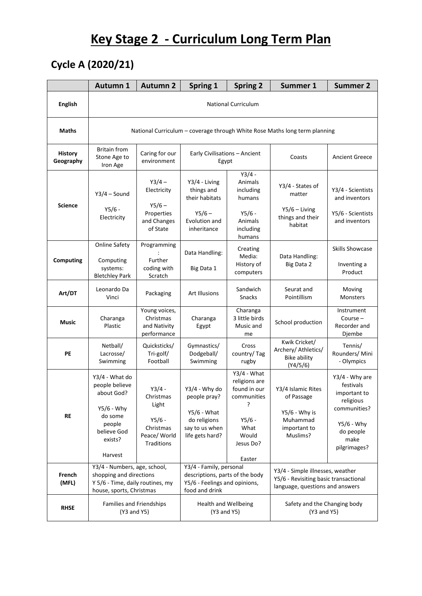# **Key Stage 2 - Curriculum Long Term Plan**

### **Cycle A (2020/21)**

|                             | <b>Autumn 1</b>                                                                                                         | <b>Autumn 2</b>                                                                       | Spring 1                                                                                                      | <b>Spring 2</b>                                                                                                      | Summer 1                                                                                                     | <b>Summer 2</b>                                                                                                             |  |
|-----------------------------|-------------------------------------------------------------------------------------------------------------------------|---------------------------------------------------------------------------------------|---------------------------------------------------------------------------------------------------------------|----------------------------------------------------------------------------------------------------------------------|--------------------------------------------------------------------------------------------------------------|-----------------------------------------------------------------------------------------------------------------------------|--|
| <b>English</b>              | <b>National Curriculum</b>                                                                                              |                                                                                       |                                                                                                               |                                                                                                                      |                                                                                                              |                                                                                                                             |  |
| Maths                       | National Curriculum - coverage through White Rose Maths long term planning                                              |                                                                                       |                                                                                                               |                                                                                                                      |                                                                                                              |                                                                                                                             |  |
| <b>History</b><br>Geography | <b>Britain from</b><br>Stone Age to<br>Iron Age                                                                         | Caring for our<br>environment                                                         | Early Civilisations - Ancient<br>Egypt                                                                        |                                                                                                                      | Coasts                                                                                                       | <b>Ancient Greece</b>                                                                                                       |  |
| <b>Science</b>              | $Y3/4 - Sound$<br>$Y5/6 -$<br>Electricity                                                                               | $Y3/4 -$<br>Electricity<br>$Y5/6 -$<br>Properties<br>and Changes<br>of State          | Y3/4 - Living<br>things and<br>their habitats<br>$Y5/6 -$<br>Evolution and<br>inheritance                     | $Y3/4 -$<br>Animals<br>including<br>humans<br>$Y5/6 -$<br>Animals<br>including<br>humans                             | Y3/4 - States of<br>matter<br>$Y5/6 - Living$<br>things and their<br>habitat                                 | Y3/4 - Scientists<br>and inventors<br>Y5/6 - Scientists<br>and inventors                                                    |  |
| <b>Computing</b>            | <b>Online Safety</b><br>Computing<br>systems:<br><b>Bletchley Park</b>                                                  | Programming<br>Further<br>coding with<br>Scratch                                      | Data Handling:<br>Big Data 1                                                                                  | Creating<br>Media:<br>History of<br>computers                                                                        | Data Handling:<br>Big Data 2                                                                                 | <b>Skills Showcase</b><br>Inventing a<br>Product                                                                            |  |
| Art/DT                      | Leonardo Da<br>Vinci                                                                                                    | Packaging                                                                             | <b>Art Illusions</b>                                                                                          | Sandwich<br>Snacks                                                                                                   | Seurat and<br>Pointillism                                                                                    | Moving<br>Monsters                                                                                                          |  |
| Music                       | Charanga<br>Plastic                                                                                                     | Young voices,<br>Christmas<br>and Nativity<br>performance                             | Charanga<br>Egypt                                                                                             | Charanga<br>3 little birds<br>Music and<br>me                                                                        | School production                                                                                            | Instrument<br>Course $-$<br>Recorder and<br>Djembe                                                                          |  |
| PE                          | Netball/<br>Lacrosse/<br>Swimming                                                                                       | Quicksticks/<br>Tri-golf/<br>Football                                                 | Gymnastics/<br>Dodgeball/<br>Swimming                                                                         | Cross<br>country/Tag<br>rugby                                                                                        | Kwik Cricket/<br>Archery/ Athletics/<br><b>Bike ability</b><br>(Y4/5/6)                                      | Tennis/<br>Rounders/ Mini<br>- Olympics                                                                                     |  |
| <b>RE</b>                   | Y3/4 - What do<br>people believe<br>about God?<br>Y5/6 - Why<br>do some<br>people<br>believe God<br>exists?<br>Harvest  | $Y3/4 -$<br>Christmas<br>Light<br>$Y5/6 -$<br>Christmas<br>Peace/ World<br>Traditions | Y3/4 - Why do<br>people pray?<br>$Y5/6$ - What<br>do religions<br>say to us when<br>life gets hard?           | $Y3/4$ - What<br>religions are<br>found in our<br>communities<br>ρ<br>Y5/6 -<br>What<br>Would<br>Jesus Do?<br>Easter | Y3/4 Islamic Rites<br>of Passage<br>$Y5/6$ - Why is<br>Muhammad<br>important to<br>Muslims?                  | Y3/4 - Why are<br>festivals<br>important to<br>religious<br>communities?<br>Y5/6 - Why<br>do people<br>make<br>pilgrimages? |  |
| French<br>(MFL)             | Y3/4 - Numbers, age, school,<br>shopping and directions<br>Y 5/6 - Time, daily routines, my<br>house, sports, Christmas |                                                                                       | Y3/4 - Family, personal<br>descriptions, parts of the body<br>Y5/6 - Feelings and opinions,<br>food and drink |                                                                                                                      | Y3/4 - Simple illnesses, weather<br>Y5/6 - Revisiting basic transactional<br>language, questions and answers |                                                                                                                             |  |
| <b>RHSE</b>                 | Families and Friendships<br>(Y3 and Y5)                                                                                 |                                                                                       | Health and Wellbeing<br>(Y3 and Y5)                                                                           |                                                                                                                      | Safety and the Changing body<br>(Y3 and Y5)                                                                  |                                                                                                                             |  |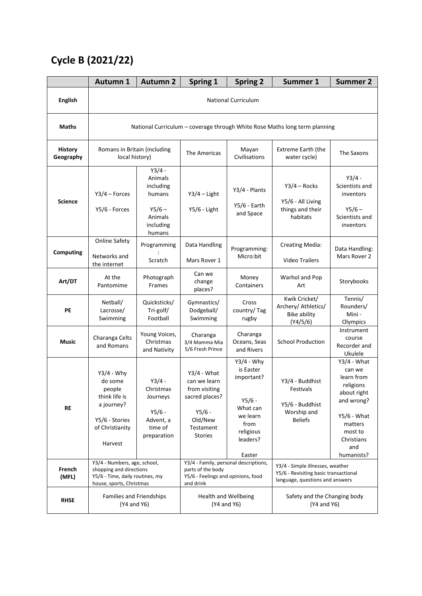#### **Cycle B (2021/22)**

|                             | <b>Autumn 1</b>                                                                                                        | <b>Autumn 2</b>                                                                          | Spring 1                                                                                                               | <b>Spring 2</b>                                                                                                        | <b>Summer 1</b>                                                                                              | <b>Summer 2</b>                                                                                                                                           |  |
|-----------------------------|------------------------------------------------------------------------------------------------------------------------|------------------------------------------------------------------------------------------|------------------------------------------------------------------------------------------------------------------------|------------------------------------------------------------------------------------------------------------------------|--------------------------------------------------------------------------------------------------------------|-----------------------------------------------------------------------------------------------------------------------------------------------------------|--|
| <b>English</b>              | <b>National Curriculum</b>                                                                                             |                                                                                          |                                                                                                                        |                                                                                                                        |                                                                                                              |                                                                                                                                                           |  |
| <b>Maths</b>                | National Curriculum - coverage through White Rose Maths long term planning                                             |                                                                                          |                                                                                                                        |                                                                                                                        |                                                                                                              |                                                                                                                                                           |  |
| <b>History</b><br>Geography | Romans in Britain (including<br>local history)                                                                         |                                                                                          | The Americas                                                                                                           | Mayan<br>Civilisations                                                                                                 | <b>Extreme Earth (the</b><br>water cycle)                                                                    | The Saxons                                                                                                                                                |  |
| <b>Science</b>              | $Y3/4$ – Forces<br>Y5/6 - Forces                                                                                       | $Y3/4 -$<br>Animals<br>including<br>humans<br>$Y5/6 -$<br>Animals<br>including<br>humans | $Y3/4$ – Light<br>Y5/6 - Light                                                                                         | Y3/4 - Plants<br>$Y5/6$ - Earth<br>and Space                                                                           | $Y3/4 - \text{Rocks}$<br>Y5/6 - All Living<br>things and their<br>habitats                                   | $Y3/4 -$<br>Scientists and<br>inventors<br>$Y5/6 -$<br>Scientists and<br>inventors                                                                        |  |
| Computing                   | <b>Online Safety</b><br>Networks and<br>the internet                                                                   | Programming<br>Scratch                                                                   | Data Handling<br>Mars Rover 1                                                                                          | Programming:<br>Micro:bit                                                                                              | <b>Creating Media:</b><br><b>Video Trailers</b>                                                              | Data Handling:<br>Mars Rover 2                                                                                                                            |  |
| Art/DT                      | At the<br>Pantomime                                                                                                    | Photograph<br>Frames                                                                     | Can we<br>change<br>places?                                                                                            | Money<br>Containers                                                                                                    | Warhol and Pop<br>Art                                                                                        | Storybooks                                                                                                                                                |  |
| PE                          | Netball/<br>Lacrosse/<br>Swimming                                                                                      | Quicksticks/<br>Tri-golf/<br>Football                                                    | Gymnastics/<br>Dodgeball/<br>Swimming                                                                                  | Cross<br>country/Tag<br>rugby                                                                                          | Kwik Cricket/<br>Archery/ Athletics/<br><b>Bike ability</b><br>(Y4/5/6)                                      | Tennis/<br>Rounders/<br>Mini -<br>Olympics                                                                                                                |  |
| Music                       | Charanga Celts<br>and Romans                                                                                           | Young Voices,<br>Christmas<br>and Nativity                                               | Charanga<br>3/4 Mamma Mia<br>5/6 Fresh Prince                                                                          | Charanga<br>Oceans, Seas<br>and Rivers                                                                                 | <b>School Production</b>                                                                                     | Instrument<br>course<br>Recorder and<br>Ukulele                                                                                                           |  |
| <b>RE</b>                   | $Y3/4 - Why$<br>do some<br>people<br>think life is<br>a journey?<br>Y5/6 - Stories<br>of Christianity<br>Harvest       | $Y3/4 -$<br>Christmas<br>Journeys<br>$Y5/6 -$<br>Advent, a<br>time of<br>preparation     | $Y3/4$ - What<br>can we learn<br>from visiting<br>sacred places?<br>$Y5/6 -$<br>Old/New<br>Testament<br><b>Stories</b> | $Y3/4 - Why$<br>is Easter<br>important?<br>$Y5/6 -$<br>What can<br>we learn<br>from<br>religious<br>leaders?<br>Easter | Y3/4 - Buddhist<br>Festivals<br>Y5/6 - Buddhist<br>Worship and<br><b>Beliefs</b>                             | $Y3/4$ - What<br>can we<br>learn from<br>religions<br>about right<br>and wrong?<br>$Y5/6$ - What<br>matters<br>most to<br>Christians<br>and<br>humanists? |  |
| French<br>(MFL)             | Y3/4 - Numbers, age, school,<br>shopping and directions<br>Y5/6 - Time, daily routines, my<br>house, sports, Christmas |                                                                                          | Y3/4 - Family, personal descriptions,<br>parts of the body<br>Y5/6 - Feelings and opinions, food<br>and drink          |                                                                                                                        | Y3/4 - Simple illnesses, weather<br>Y5/6 - Revisiting basic transactional<br>language, questions and answers |                                                                                                                                                           |  |
| <b>RHSE</b>                 | Families and Friendships<br>(Y4 and Y6)                                                                                |                                                                                          | <b>Health and Wellbeing</b><br>(Y4 and Y6)                                                                             |                                                                                                                        | Safety and the Changing body<br>(Y4 and Y6)                                                                  |                                                                                                                                                           |  |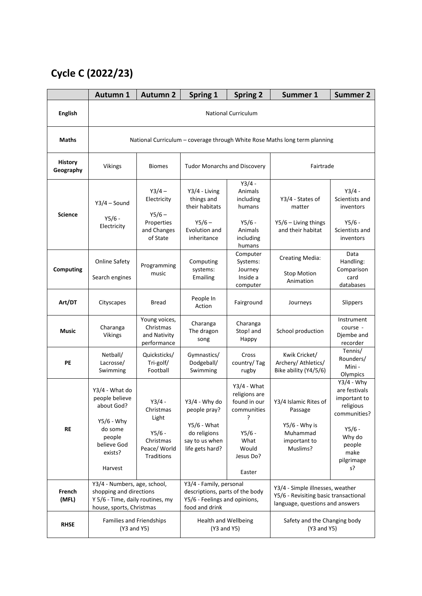## **Cycle C (2022/23)**

|                             | <b>Autumn 1</b>                                                                                                          | <b>Autumn 2</b>                                                                       | Spring 1                                                                                                      | <b>Spring 2</b>                                                                                                        | <b>Summer 1</b>                                                                                              | <b>Summer 2</b>                                                                                                                        |  |
|-----------------------------|--------------------------------------------------------------------------------------------------------------------------|---------------------------------------------------------------------------------------|---------------------------------------------------------------------------------------------------------------|------------------------------------------------------------------------------------------------------------------------|--------------------------------------------------------------------------------------------------------------|----------------------------------------------------------------------------------------------------------------------------------------|--|
| <b>English</b>              | <b>National Curriculum</b>                                                                                               |                                                                                       |                                                                                                               |                                                                                                                        |                                                                                                              |                                                                                                                                        |  |
| <b>Maths</b>                | National Curriculum - coverage through White Rose Maths long term planning                                               |                                                                                       |                                                                                                               |                                                                                                                        |                                                                                                              |                                                                                                                                        |  |
| <b>History</b><br>Geography | Vikings                                                                                                                  | <b>Biomes</b>                                                                         | <b>Tudor Monarchs and Discovery</b>                                                                           |                                                                                                                        | Fairtrade                                                                                                    |                                                                                                                                        |  |
| <b>Science</b>              | $Y3/4 - Sound$<br>$Y5/6 -$<br>Electricity                                                                                | $Y3/4 -$<br>Electricity<br>$Y5/6 -$<br>Properties<br>and Changes<br>of State          | Y3/4 - Living<br>things and<br>their habitats<br>$Y5/6 -$<br>Evolution and<br>inheritance                     | $Y3/4 -$<br>Animals<br>including<br>humans<br>Y5/6 -<br>Animals<br>including<br>humans                                 | Y3/4 - States of<br>matter<br>Y5/6 - Living things<br>and their habitat                                      | $Y3/4 -$<br>Scientists and<br>inventors<br>$Y5/6 -$<br>Scientists and<br>inventors                                                     |  |
| <b>Computing</b>            | <b>Online Safety</b><br>Search engines                                                                                   | Programming<br>music                                                                  | Computing<br>systems:<br>Emailing                                                                             | Computer<br>Systems:<br>Journey<br>Inside a<br>computer                                                                | <b>Creating Media:</b><br><b>Stop Motion</b><br>Animation                                                    | Data<br>Handling:<br>Comparison<br>card<br>databases                                                                                   |  |
| Art/DT                      | Cityscapes                                                                                                               | <b>Bread</b>                                                                          | People In<br>Action                                                                                           | Fairground                                                                                                             | Journeys                                                                                                     | Slippers                                                                                                                               |  |
| <b>Music</b>                | Charanga<br><b>Vikings</b>                                                                                               | Young voices,<br>Christmas<br>and Nativity<br>performance                             | Charanga<br>The dragon<br>song                                                                                | Charanga<br>Stop! and<br>Happy                                                                                         | School production                                                                                            | Instrument<br>course -<br>Djembe and<br>recorder                                                                                       |  |
| PE                          | Netball/<br>Lacrosse/<br>Swimming                                                                                        | Quicksticks/<br>Tri-golf/<br>Football                                                 | Gymnastics/<br>Dodgeball/<br>Swimming                                                                         | Cross<br>country/Tag<br>rugby                                                                                          | Kwik Cricket/<br>Archery/ Athletics/<br>Bike ability (Y4/5/6)                                                | Tennis/<br>Rounders/<br>Mini -<br>Olympics                                                                                             |  |
| <b>RE</b>                   | Y3/4 - What do<br>people believe<br>about God?<br>$Y5/6 - Why$<br>do some<br>people<br>believe God<br>exists?<br>Harvest | $Y3/4 -$<br>Christmas<br>Light<br>$Y5/6 -$<br>Christmas<br>Peace/ World<br>Traditions | $Y3/4$ - Why do<br>people pray?<br>$Y5/6$ - What<br>do religions<br>say to us when<br>life gets hard?         | $Y3/4$ - What<br>religions are<br>found in our<br>communities<br>7<br>$Y5/6 -$<br>What<br>Would<br>Jesus Do?<br>Easter | Y3/4 Islamic Rites of<br>Passage<br>$Y5/6$ - Why is<br>Muhammad<br>important to<br>Muslims?                  | $Y3/4 - Why$<br>are festivals<br>important to<br>religious<br>communities?<br>$Y5/6 -$<br>Why do<br>people<br>make<br>pilgrimage<br>s? |  |
| French<br>(MFL)             | Y3/4 - Numbers, age, school,<br>shopping and directions<br>Y 5/6 - Time, daily routines, my<br>house, sports, Christmas  |                                                                                       | Y3/4 - Family, personal<br>descriptions, parts of the body<br>Y5/6 - Feelings and opinions,<br>food and drink |                                                                                                                        | Y3/4 - Simple illnesses, weather<br>Y5/6 - Revisiting basic transactional<br>language, questions and answers |                                                                                                                                        |  |
| <b>RHSE</b>                 | Families and Friendships<br>(Y3 and Y5)                                                                                  |                                                                                       | Health and Wellbeing<br>(Y3 and Y5)                                                                           |                                                                                                                        | Safety and the Changing body<br>(Y3 and Y5)                                                                  |                                                                                                                                        |  |